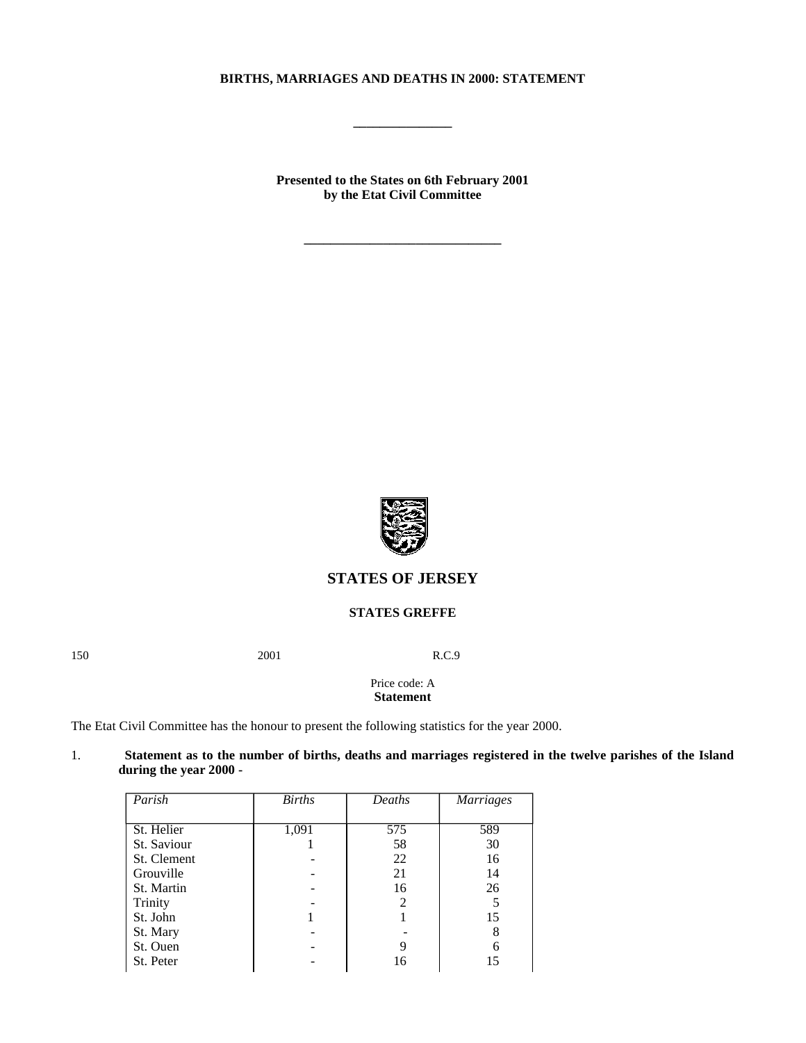## **BIRTHS, MARRIAGES AND DEATHS IN 2000: STATEMENT**

**\_\_\_\_\_\_\_\_\_\_\_\_\_\_\_**

**Presented to the States on 6th February 2001 by the Etat Civil Committee**

**\_\_\_\_\_\_\_\_\_\_\_\_\_\_\_\_\_\_\_\_\_\_\_\_\_\_\_\_\_\_**



# **STATES OF JERSEY**

#### **STATES GREFFE**

150 2001 R.C.9

Price code: A **Statement**

The Etat Civil Committee has the honour to present the following statistics for the year 2000.

| Statement as to the number of births, deaths and marriages registered in the twelve parishes of the Island |  |  |  |  |
|------------------------------------------------------------------------------------------------------------|--|--|--|--|
| during the year 2000 -                                                                                     |  |  |  |  |

| Parish      | <b>Births</b> | Deaths | <b>Marriages</b> |
|-------------|---------------|--------|------------------|
|             |               |        |                  |
| St. Helier  | 1,091         | 575    | 589              |
| St. Saviour |               | 58     | 30               |
| St. Clement |               | 22     | 16               |
| Grouville   |               | 21     | 14               |
| St. Martin  |               | 16     | 26               |
| Trinity     |               |        | 5                |
| St. John    |               |        | 15               |
| St. Mary    |               |        | 8                |
| St. Ouen    |               |        | 6                |
| St. Peter   |               | 16     | 15               |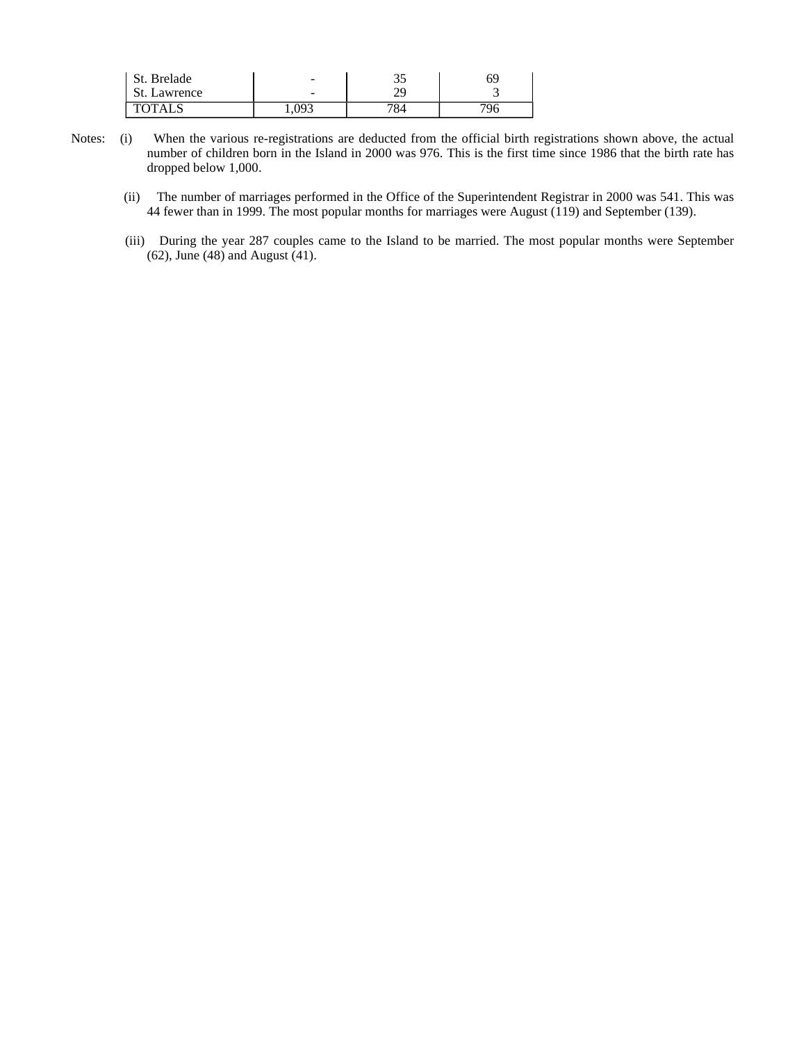| St. Brelade  | -                            | າເ<br>ر ر | 69 |
|--------------|------------------------------|-----------|----|
| St. Lawrence | $\overline{\phantom{0}}$     | nr.<br>23 |    |
| TOTAI S      | $09^\circ$<br>1,U <i>J</i> U | 784       |    |

- Notes: (i) When the various re-registrations are deducted from the official birth registrations shown above, the actual number of children born in the Island in 2000 was 976. This is the first time since 1986 that the birth rate has dropped below 1,000.
	- (ii) The number of marriages performed in the Office of the Superintendent Registrar in 2000 was 541. This was 44 fewer than in 1999. The most popular months for marriages were August  $(119)$  and September (139).
	- (iii) During the year 287 couples came to the Island to be married. The most popular months were September (62), June (48) and August (41).